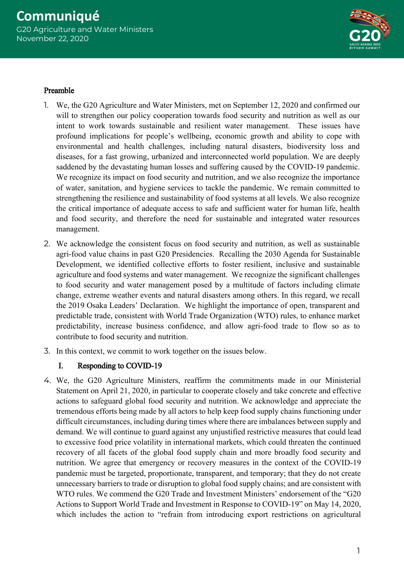

### Preamble

- 1. We, the G20 Agriculture and Water Ministers, met on September 12, 2020 and confirmed our will to strengthen our policy cooperation towards food security and nutrition as well as our intent to work towards sustainable and resilient water management. These issues have profound implications for people's wellbeing, economic growth and ability to cope with environmental and health challenges, including natural disasters, biodiversity loss and diseases, for a fast growing, urbanized and interconnected world population. We are deeply saddened by the devastating human losses and suffering caused by the COVID-19 pandemic. We recognize its impact on food security and nutrition, and we also recognize the importance of water, sanitation, and hygiene services to tackle the pandemic. We remain committed to strengthening the resilience and sustainability of food systems at all levels. We also recognize the critical importance of adequate access to safe and sufficient water for human life, health and food security, and therefore the need for sustainable and integrated water resources management.
- 2. We acknowledge the consistent focus on food security and nutrition, as well as sustainable agri-food value chains in past G20 Presidencies. Recalling the 2030 Agenda for Sustainable Development, we identified collective efforts to foster resilient, inclusive and sustainable agriculture and food systems and water management. We recognize the significant challenges to food security and water management posed by a multitude of factors including climate change, extreme weather events and natural disasters among others. In this regard, we recall the 2019 Osaka Leaders' Declaration. We highlight the importance of open, transparent and predictable trade, consistent with World Trade Organization (WTO) rules, to enhance market predictability, increase business confidence, and allow agri-food trade to flow so as to contribute to food security and nutrition.
- 3. In this context, we commit to work together on the issues below.

## I. Responding to COVID-19

4. We, the G20 Agriculture Ministers, reaffirm the commitments made in our Ministerial Statement on April 21, 2020, in particular to cooperate closely and take concrete and effective actions to safeguard global food security and nutrition. We acknowledge and appreciate the tremendous efforts being made by all actors to help keep food supply chains functioning under difficult circumstances, including during times where there are imbalances between supply and demand. We will continue to guard against any unjustified restrictive measures that could lead to excessive food price volatility in international markets, which could threaten the continued recovery of all facets of the global food supply chain and more broadly food security and nutrition. We agree that emergency or recovery measures in the context of the COVID-19 pandemic must be targeted, proportionate, transparent, and temporary; that they do not create unnecessary barriers to trade or disruption to global food supply chains; and are consistent with WTO rules. We commend the G20 Trade and Investment Ministers' endorsement of the "G20 Actions to Support World Trade and Investment in Response to COVID-19" on May 14, 2020, which includes the action to "refrain from introducing export restrictions on agricultural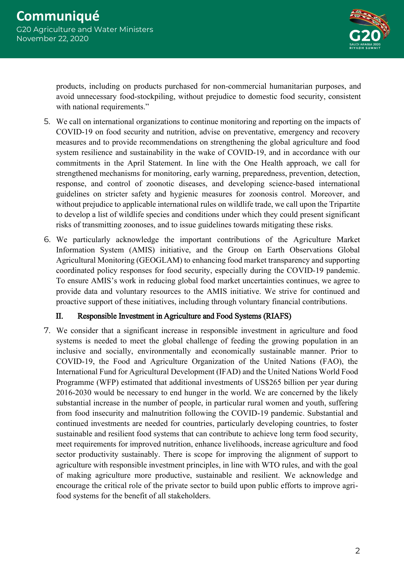

products, including on products purchased for non-commercial humanitarian purposes, and avoid unnecessary food-stockpiling, without prejudice to domestic food security, consistent with national requirements."

- 5. We call on international organizations to continue monitoring and reporting on the impacts of COVID-19 on food security and nutrition, advise on preventative, emergency and recovery measures and to provide recommendations on strengthening the global agriculture and food system resilience and sustainability in the wake of COVID-19, and in accordance with our commitments in the April Statement. In line with the One Health approach, we call for strengthened mechanisms for monitoring, early warning, preparedness, prevention, detection, response, and control of zoonotic diseases, and developing science-based international guidelines on stricter safety and hygienic measures for zoonosis control. Moreover, and without prejudice to applicable international rules on wildlife trade, we call upon the Tripartite to develop a list of wildlife species and conditions under which they could present significant risks of transmitting zoonoses, and to issue guidelines towards mitigating these risks.
- 6. We particularly acknowledge the important contributions of the Agriculture Market Information System (AMIS) initiative, and the Group on Earth Observations Global Agricultural Monitoring (GEOGLAM) to enhancing food market transparency and supporting coordinated policy responses for food security, especially during the COVID-19 pandemic. To ensure AMIS's work in reducing global food market uncertainties continues, we agree to provide data and voluntary resources to the AMIS initiative. We strive for continued and proactive support of these initiatives, including through voluntary financial contributions.

#### II. Responsible Investment in Agriculture and Food Systems (RIAFS)

7. We consider that a significant increase in responsible investment in agriculture and food systems is needed to meet the global challenge of feeding the growing population in an inclusive and socially, environmentally and economically sustainable manner. Prior to COVID-19, the Food and Agriculture Organization of the United Nations (FAO), the International Fund for Agricultural Development (IFAD) and the United Nations World Food Programme (WFP) estimated that additional investments of US\$265 billion per year during 2016-2030 would be necessary to end hunger in the world. We are concerned by the likely substantial increase in the number of people, in particular rural women and youth, suffering from food insecurity and malnutrition following the COVID-19 pandemic. Substantial and continued investments are needed for countries, particularly developing countries, to foster sustainable and resilient food systems that can contribute to achieve long term food security, meet requirements for improved nutrition, enhance livelihoods, increase agriculture and food sector productivity sustainably. There is scope for improving the alignment of support to agriculture with responsible investment principles, in line with WTO rules, and with the goal of making agriculture more productive, sustainable and resilient. We acknowledge and encourage the critical role of the private sector to build upon public efforts to improve agrifood systems for the benefit of all stakeholders.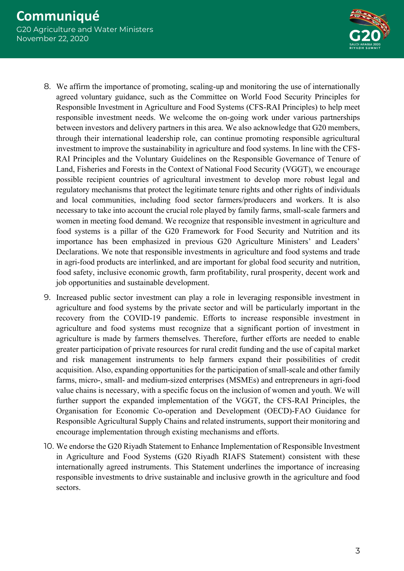

- 8. We affirm the importance of promoting, scaling-up and monitoring the use of internationally agreed voluntary guidance, such as the Committee on World Food Security Principles for Responsible Investment in Agriculture and Food Systems (CFS-RAI Principles) to help meet responsible investment needs. We welcome the on-going work under various partnerships between investors and delivery partners in this area. We also acknowledge that G20 members, through their international leadership role, can continue promoting responsible agricultural investment to improve the sustainability in agriculture and food systems. In line with the CFS-RAI Principles and the Voluntary Guidelines on the Responsible Governance of Tenure of Land, Fisheries and Forests in the Context of National Food Security (VGGT), we encourage possible recipient countries of agricultural investment to develop more robust legal and regulatory mechanisms that protect the legitimate tenure rights and other rights of individuals and local communities, including food sector farmers/producers and workers. It is also necessary to take into account the crucial role played by family farms, small-scale farmers and women in meeting food demand. We recognize that responsible investment in agriculture and food systems is a pillar of the G20 Framework for Food Security and Nutrition and its importance has been emphasized in previous G20 Agriculture Ministers' and Leaders' Declarations. We note that responsible investments in agriculture and food systems and trade in agri-food products are interlinked, and are important for global food security and nutrition, food safety, inclusive economic growth, farm profitability, rural prosperity, decent work and job opportunities and sustainable development.
- 9. Increased public sector investment can play a role in leveraging responsible investment in agriculture and food systems by the private sector and will be particularly important in the recovery from the COVID-19 pandemic. Efforts to increase responsible investment in agriculture and food systems must recognize that a significant portion of investment in agriculture is made by farmers themselves. Therefore, further efforts are needed to enable greater participation of private resources for rural credit funding and the use of capital market and risk management instruments to help farmers expand their possibilities of credit acquisition. Also, expanding opportunities for the participation of small-scale and other family farms, micro-, small- and medium-sized enterprises (MSMEs) and entrepreneurs in agri-food value chains is necessary, with a specific focus on the inclusion of women and youth. We will further support the expanded implementation of the VGGT, the CFS-RAI Principles, the Organisation for Economic Co-operation and Development (OECD)-FAO Guidance for Responsible Agricultural Supply Chains and related instruments, support their monitoring and encourage implementation through existing mechanisms and efforts.
- 10. We endorse the G20 Riyadh Statement to Enhance Implementation of Responsible Investment in Agriculture and Food Systems (G20 Riyadh RIAFS Statement) consistent with these internationally agreed instruments. This Statement underlines the importance of increasing responsible investments to drive sustainable and inclusive growth in the agriculture and food sectors.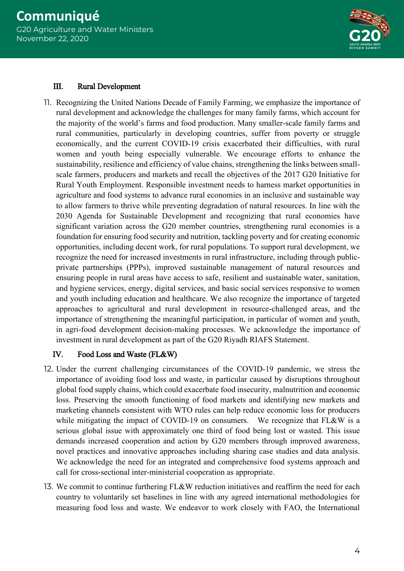

#### III. Rural Development

11. Recognizing the United Nations Decade of Family Farming, we emphasize the importance of rural development and acknowledge the challenges for many family farms, which account for the majority of the world's farms and food production. Many smaller-scale family farms and rural communities, particularly in developing countries, suffer from poverty or struggle economically, and the current COVID-19 crisis exacerbated their difficulties, with rural women and youth being especially vulnerable. We encourage efforts to enhance the sustainability, resilience and efficiency of value chains, strengthening the links between smallscale farmers, producers and markets and recall the objectives of the 2017 G20 Initiative for Rural Youth Employment. Responsible investment needs to harness market opportunities in agriculture and food systems to advance rural economies in an inclusive and sustainable way to allow farmers to thrive while preventing degradation of natural resources. In line with the 2030 Agenda for Sustainable Development and recognizing that rural economies have significant variation across the G20 member countries, strengthening rural economies is a foundation for ensuring food security and nutrition, tackling poverty and for creating economic opportunities, including decent work, for rural populations. To support rural development, we recognize the need for increased investments in rural infrastructure, including through publicprivate partnerships (PPPs), improved sustainable management of natural resources and ensuring people in rural areas have access to safe, resilient and sustainable water, sanitation, and hygiene services, energy, digital services, and basic social services responsive to women and youth including education and healthcare. We also recognize the importance of targeted approaches to agricultural and rural development in resource-challenged areas, and the importance of strengthening the meaningful participation, in particular of women and youth, in agri-food development decision-making processes. We acknowledge the importance of investment in rural development as part of the G20 Riyadh RIAFS Statement.

#### IV. Food Loss and Waste (FL&W)

- 12. Under the current challenging circumstances of the COVID-19 pandemic, we stress the importance of avoiding food loss and waste, in particular caused by disruptions throughout global food supply chains, which could exacerbate food insecurity, malnutrition and economic loss. Preserving the smooth functioning of food markets and identifying new markets and marketing channels consistent with WTO rules can help reduce economic loss for producers while mitigating the impact of COVID-19 on consumers. We recognize that FL&W is a serious global issue with approximately one third of food being lost or wasted. This issue demands increased cooperation and action by G20 members through improved awareness, novel practices and innovative approaches including sharing case studies and data analysis. We acknowledge the need for an integrated and comprehensive food systems approach and call for cross-sectional inter-ministerial cooperation as appropriate.
- 13. We commit to continue furthering FL&W reduction initiatives and reaffirm the need for each country to voluntarily set baselines in line with any agreed international methodologies for measuring food loss and waste. We endeavor to work closely with FAO, the International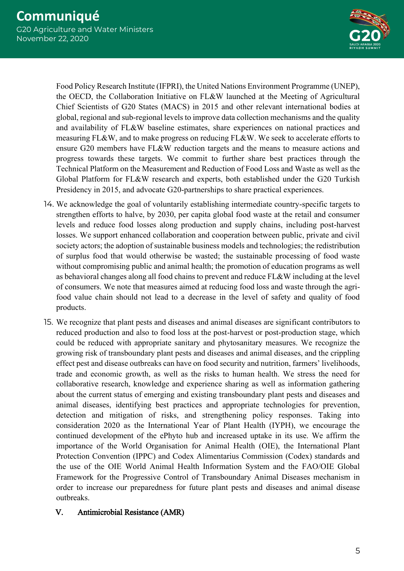

Food Policy Research Institute (IFPRI), the United Nations Environment Programme (UNEP), the OECD, the Collaboration Initiative on FL&W launched at the Meeting of Agricultural Chief Scientists of G20 States (MACS) in 2015 and other relevant international bodies at global, regional and sub-regional levels to improve data collection mechanisms and the quality and availability of FL&W baseline estimates, share experiences on national practices and measuring FL&W, and to make progress on reducing FL&W. We seek to accelerate efforts to ensure G20 members have FL&W reduction targets and the means to measure actions and progress towards these targets. We commit to further share best practices through the Technical Platform on the Measurement and Reduction of Food Loss and Waste as well as the Global Platform for FL&W research and experts, both established under the G20 Turkish Presidency in 2015, and advocate G20-partnerships to share practical experiences.

- 14. We acknowledge the goal of voluntarily establishing intermediate country-specific targets to strengthen efforts to halve, by 2030, per capita global food waste at the retail and consumer levels and reduce food losses along production and supply chains, including post-harvest losses. We support enhanced collaboration and cooperation between public, private and civil society actors; the adoption of sustainable business models and technologies; the redistribution of surplus food that would otherwise be wasted; the sustainable processing of food waste without compromising public and animal health; the promotion of education programs as well as behavioral changes along all food chains to prevent and reduce FL&W including at the level of consumers. We note that measures aimed at reducing food loss and waste through the agrifood value chain should not lead to a decrease in the level of safety and quality of food products.
- 15. We recognize that plant pests and diseases and animal diseases are significant contributors to reduced production and also to food loss at the post-harvest or post-production stage, which could be reduced with appropriate sanitary and phytosanitary measures. We recognize the growing risk of transboundary plant pests and diseases and animal diseases, and the crippling effect pest and disease outbreaks can have on food security and nutrition, farmers' livelihoods, trade and economic growth, as well as the risks to human health. We stress the need for collaborative research, knowledge and experience sharing as well as information gathering about the current status of emerging and existing transboundary plant pests and diseases and animal diseases, identifying best practices and appropriate technologies for prevention, detection and mitigation of risks, and strengthening policy responses. Taking into consideration 2020 as the International Year of Plant Health (IYPH), we encourage the continued development of the ePhyto hub and increased uptake in its use. We affirm the importance of the World Organisation for Animal Health (OIE), the International Plant Protection Convention (IPPC) and Codex Alimentarius Commission (Codex) standards and the use of the OIE World Animal Health Information System and the FAO/OIE Global Framework for the Progressive Control of Transboundary Animal Diseases mechanism in order to increase our preparedness for future plant pests and diseases and animal disease outbreaks.
	- V. Antimicrobial Resistance (AMR)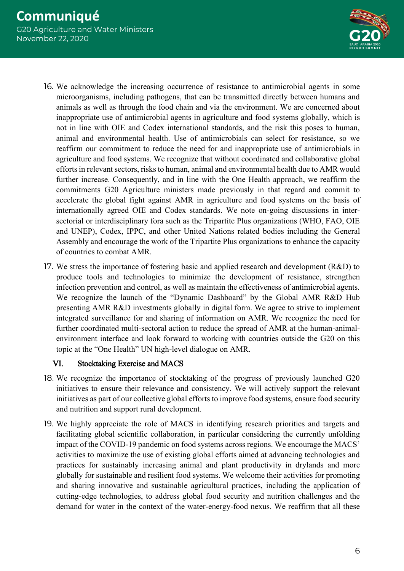

- 16. We acknowledge the increasing occurrence of resistance to antimicrobial agents in some microorganisms, including pathogens, that can be transmitted directly between humans and animals as well as through the food chain and via the environment. We are concerned about inappropriate use of antimicrobial agents in agriculture and food systems globally, which is not in line with OIE and Codex international standards, and the risk this poses to human, animal and environmental health. Use of antimicrobials can select for resistance, so we reaffirm our commitment to reduce the need for and inappropriate use of antimicrobials in agriculture and food systems. We recognize that without coordinated and collaborative global efforts in relevant sectors, risks to human, animal and environmental health due to AMR would further increase. Consequently, and in line with the One Health approach, we reaffirm the commitments G20 Agriculture ministers made previously in that regard and commit to accelerate the global fight against AMR in agriculture and food systems on the basis of internationally agreed OIE and Codex standards. We note on-going discussions in intersectorial or interdisciplinary fora such as the Tripartite Plus organizations (WHO, FAO, OIE and UNEP), Codex, IPPC, and other United Nations related bodies including the General Assembly and encourage the work of the Tripartite Plus organizations to enhance the capacity of countries to combat AMR.
- 17. We stress the importance of fostering basic and applied research and development (R&D) to produce tools and technologies to minimize the development of resistance, strengthen infection prevention and control, as well as maintain the effectiveness of antimicrobial agents. We recognize the launch of the "Dynamic Dashboard" by the Global AMR R&D Hub presenting AMR R&D investments globally in digital form. We agree to strive to implement integrated surveillance for and sharing of information on AMR. We recognize the need for further coordinated multi-sectoral action to reduce the spread of AMR at the human-animalenvironment interface and look forward to working with countries outside the G20 on this topic at the "One Health" UN high-level dialogue on AMR.

#### VI. Stocktaking Exercise and MACS

- 18. We recognize the importance of stocktaking of the progress of previously launched G20 initiatives to ensure their relevance and consistency. We will actively support the relevant initiatives as part of our collective global efforts to improve food systems, ensure food security and nutrition and support rural development.
- 19. We highly appreciate the role of MACS in identifying research priorities and targets and facilitating global scientific collaboration, in particular considering the currently unfolding impact of the COVID-19 pandemic on food systems across regions. We encourage the MACS' activities to maximize the use of existing global efforts aimed at advancing technologies and practices for sustainably increasing animal and plant productivity in drylands and more globally for sustainable and resilient food systems. We welcome their activities for promoting and sharing innovative and sustainable agricultural practices, including the application of cutting-edge technologies, to address global food security and nutrition challenges and the demand for water in the context of the water-energy-food nexus. We reaffirm that all these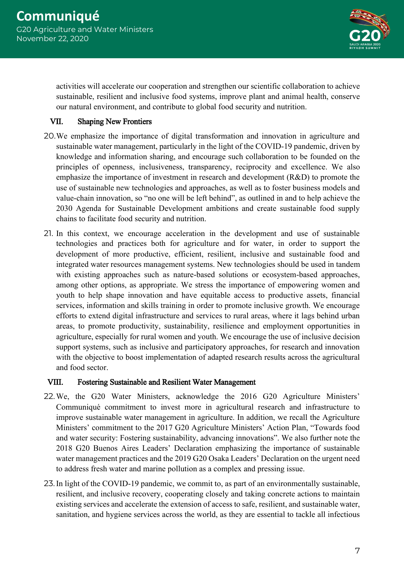

activities will accelerate our cooperation and strengthen our scientific collaboration to achieve sustainable, resilient and inclusive food systems, improve plant and animal health, conserve our natural environment, and contribute to global food security and nutrition.

# VII. Shaping New Frontiers

- 20.We emphasize the importance of digital transformation and innovation in agriculture and sustainable water management, particularly in the light of the COVID-19 pandemic, driven by knowledge and information sharing, and encourage such collaboration to be founded on the principles of openness, inclusiveness, transparency, reciprocity and excellence. We also emphasize the importance of investment in research and development (R&D) to promote the use of sustainable new technologies and approaches, as well as to foster business models and value-chain innovation, so "no one will be left behind", as outlined in and to help achieve the 2030 Agenda for Sustainable Development ambitions and create sustainable food supply chains to facilitate food security and nutrition.
- 21. In this context, we encourage acceleration in the development and use of sustainable technologies and practices both for agriculture and for water, in order to support the development of more productive, efficient, resilient, inclusive and sustainable food and integrated water resources management systems. New technologies should be used in tandem with existing approaches such as nature-based solutions or ecosystem-based approaches, among other options, as appropriate. We stress the importance of empowering women and youth to help shape innovation and have equitable access to productive assets, financial services, information and skills training in order to promote inclusive growth. We encourage efforts to extend digital infrastructure and services to rural areas, where it lags behind urban areas, to promote productivity, sustainability, resilience and employment opportunities in agriculture, especially for rural women and youth. We encourage the use of inclusive decision support systems, such as inclusive and participatory approaches, for research and innovation with the objective to boost implementation of adapted research results across the agricultural and food sector.

## VIII. Fostering Sustainable and Resilient Water Management

- 22.We, the G20 Water Ministers, acknowledge the 2016 G20 Agriculture Ministers' Communiqué commitment to invest more in agricultural research and infrastructure to improve sustainable water management in agriculture. In addition, we recall the Agriculture Ministers' commitment to the 2017 G20 Agriculture Ministers' Action Plan, "Towards food and water security: Fostering sustainability, advancing innovations". We also further note the 2018 G20 Buenos Aires Leaders' Declaration emphasizing the importance of sustainable water management practices and the 2019 G20 Osaka Leaders' Declaration on the urgent need to address fresh water and marine pollution as a complex and pressing issue.
- 23.In light of the COVID-19 pandemic, we commit to, as part of an environmentally sustainable, resilient, and inclusive recovery, cooperating closely and taking concrete actions to maintain existing services and accelerate the extension of access to safe, resilient, and sustainable water, sanitation, and hygiene services across the world, as they are essential to tackle all infectious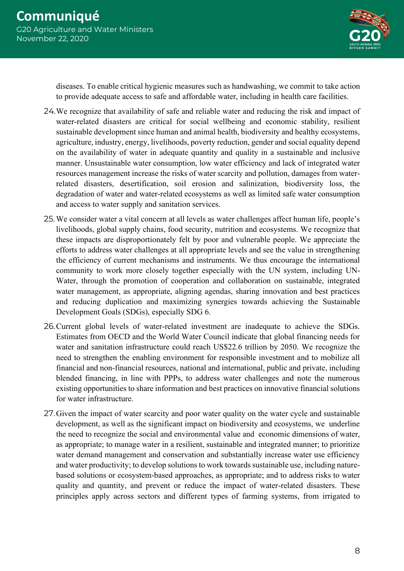

diseases. To enable critical hygienic measures such as handwashing, we commit to take action to provide adequate access to safe and affordable water, including in health care facilities.

- 24.We recognize that availability of safe and reliable water and reducing the risk and impact of water-related disasters are critical for social wellbeing and economic stability, resilient sustainable development since human and animal health, biodiversity and healthy ecosystems, agriculture, industry, energy, livelihoods, poverty reduction, gender and social equality depend on the availability of water in adequate quantity and quality in a sustainable and inclusive manner. Unsustainable water consumption, low water efficiency and lack of integrated water resources management increase the risks of water scarcity and pollution, damages from waterrelated disasters, desertification, soil erosion and salinization, biodiversity loss, the degradation of water and water-related ecosystems as well as limited safe water consumption and access to water supply and sanitation services.
- 25.We consider water a vital concern at all levels as water challenges affect human life, people's livelihoods, global supply chains, food security, nutrition and ecosystems. We recognize that these impacts are disproportionately felt by poor and vulnerable people. We appreciate the efforts to address water challenges at all appropriate levels and see the value in strengthening the efficiency of current mechanisms and instruments. We thus encourage the international community to work more closely together especially with the UN system, including UN-Water, through the promotion of cooperation and collaboration on sustainable, integrated water management, as appropriate, aligning agendas, sharing innovation and best practices and reducing duplication and maximizing synergies towards achieving the Sustainable Development Goals (SDGs), especially SDG 6.
- 26.Current global levels of water-related investment are inadequate to achieve the SDGs. Estimates from OECD and the World Water Council indicate that global financing needs for water and sanitation infrastructure could reach US\$22.6 trillion by 2050. We recognize the need to strengthen the enabling environment for responsible investment and to mobilize all financial and non-financial resources, national and international, public and private, including blended financing, in line with PPPs, to address water challenges and note the numerous existing opportunities to share information and best practices on innovative financial solutions for water infrastructure.
- 27.Given the impact of water scarcity and poor water quality on the water cycle and sustainable development, as well as the significant impact on biodiversity and ecosystems, we underline the need to recognize the social and environmental value and economic dimensions of water, as appropriate; to manage water in a resilient, sustainable and integrated manner; to prioritize water demand management and conservation and substantially increase water use efficiency and water productivity; to develop solutions to work towards sustainable use, including naturebased solutions or ecosystem-based approaches, as appropriate; and to address risks to water quality and quantity, and prevent or reduce the impact of water-related disasters. These principles apply across sectors and different types of farming systems, from irrigated to